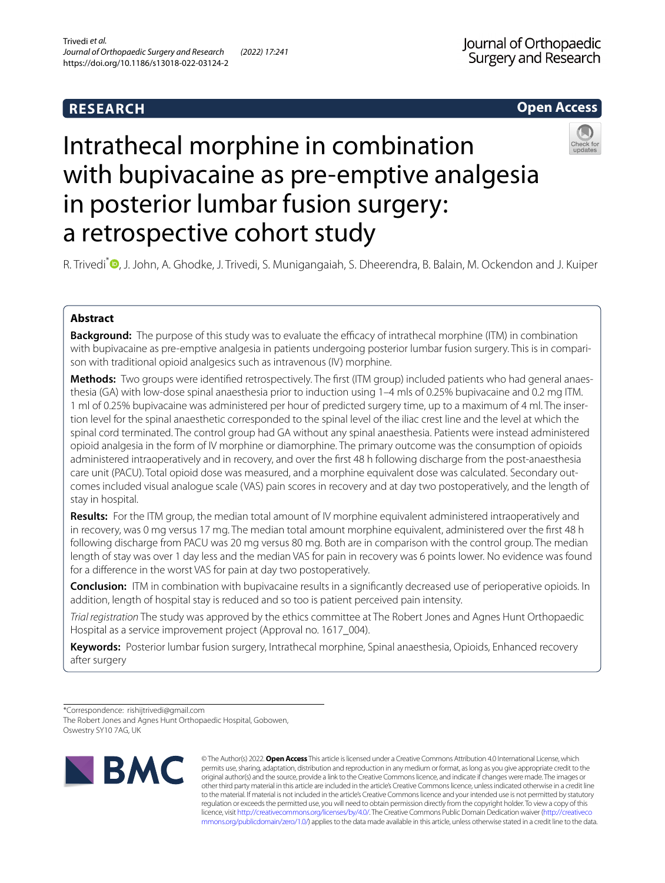# **RESEARCH**

# **Open Access**



# Intrathecal morphine in combination with bupivacaine as pre-emptive analgesia in posterior lumbar fusion surgery: a retrospective cohort study

R. Trivedi<sup>\*</sup> <sup>O</sup>[,](http://orcid.org/0000-0002-8113-9543) J. John, A. Ghodke, J. Trivedi, S. Munigangaiah, S. Dheerendra, B. Balain, M. Ockendon and J. Kuiper

# **Abstract**

**Background:** The purpose of this study was to evaluate the efficacy of intrathecal morphine (ITM) in combination with bupivacaine as pre-emptive analgesia in patients undergoing posterior lumbar fusion surgery. This is in comparison with traditional opioid analgesics such as intravenous (IV) morphine.

**Methods:** Two groups were identifed retrospectively. The frst (ITM group) included patients who had general anaesthesia (GA) with low-dose spinal anaesthesia prior to induction using 1–4 mls of 0.25% bupivacaine and 0.2 mg ITM. 1 ml of 0.25% bupivacaine was administered per hour of predicted surgery time, up to a maximum of 4 ml. The insertion level for the spinal anaesthetic corresponded to the spinal level of the iliac crest line and the level at which the spinal cord terminated. The control group had GA without any spinal anaesthesia. Patients were instead administered opioid analgesia in the form of IV morphine or diamorphine. The primary outcome was the consumption of opioids administered intraoperatively and in recovery, and over the frst 48 h following discharge from the post-anaesthesia care unit (PACU). Total opioid dose was measured, and a morphine equivalent dose was calculated. Secondary outcomes included visual analogue scale (VAS) pain scores in recovery and at day two postoperatively, and the length of stay in hospital.

**Results:** For the ITM group, the median total amount of IV morphine equivalent administered intraoperatively and in recovery, was 0 mg versus 17 mg. The median total amount morphine equivalent, administered over the frst 48 h following discharge from PACU was 20 mg versus 80 mg. Both are in comparison with the control group. The median length of stay was over 1 day less and the median VAS for pain in recovery was 6 points lower. No evidence was found for a diference in the worst VAS for pain at day two postoperatively.

**Conclusion:** ITM in combination with bupivacaine results in a signifcantly decreased use of perioperative opioids. In addition, length of hospital stay is reduced and so too is patient perceived pain intensity.

*Trial registration* The study was approved by the ethics committee at The Robert Jones and Agnes Hunt Orthopaedic Hospital as a service improvement project (Approval no. 1617\_004).

**Keywords:** Posterior lumbar fusion surgery, Intrathecal morphine, Spinal anaesthesia, Opioids, Enhanced recovery after surgery

\*Correspondence: rishijtrivedi@gmail.com The Robert Jones and Agnes Hunt Orthopaedic Hospital, Gobowen,

Oswestry SY10 7AG, UK



© The Author(s) 2022. **Open Access** This article is licensed under a Creative Commons Attribution 4.0 International License, which permits use, sharing, adaptation, distribution and reproduction in any medium or format, as long as you give appropriate credit to the original author(s) and the source, provide a link to the Creative Commons licence, and indicate if changes were made. The images or other third party material in this article are included in the article's Creative Commons licence, unless indicated otherwise in a credit line to the material. If material is not included in the article's Creative Commons licence and your intended use is not permitted by statutory regulation or exceeds the permitted use, you will need to obtain permission directly from the copyright holder. To view a copy of this licence, visit [http://creativecommons.org/licenses/by/4.0/.](http://creativecommons.org/licenses/by/4.0/) The Creative Commons Public Domain Dedication waiver ([http://creativeco](http://creativecommons.org/publicdomain/zero/1.0/) [mmons.org/publicdomain/zero/1.0/](http://creativecommons.org/publicdomain/zero/1.0/)) applies to the data made available in this article, unless otherwise stated in a credit line to the data.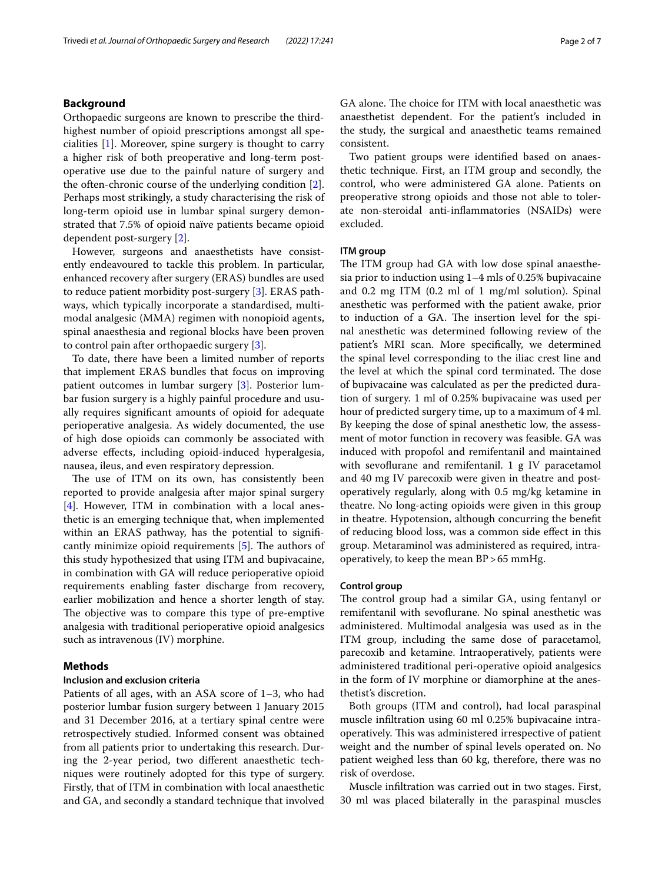Orthopaedic surgeons are known to prescribe the thirdhighest number of opioid prescriptions amongst all specialities [\[1](#page-6-0)]. Moreover, spine surgery is thought to carry a higher risk of both preoperative and long-term postoperative use due to the painful nature of surgery and the often-chronic course of the underlying condition [\[2](#page-6-1)]. Perhaps most strikingly, a study characterising the risk of long-term opioid use in lumbar spinal surgery demonstrated that 7.5% of opioid naïve patients became opioid dependent post-surgery [[2](#page-6-1)].

However, surgeons and anaesthetists have consistently endeavoured to tackle this problem. In particular, enhanced recovery after surgery (ERAS) bundles are used to reduce patient morbidity post-surgery [\[3](#page-6-2)]. ERAS pathways, which typically incorporate a standardised, multimodal analgesic (MMA) regimen with nonopioid agents, spinal anaesthesia and regional blocks have been proven to control pain after orthopaedic surgery [\[3](#page-6-2)].

To date, there have been a limited number of reports that implement ERAS bundles that focus on improving patient outcomes in lumbar surgery [\[3](#page-6-2)]. Posterior lumbar fusion surgery is a highly painful procedure and usually requires signifcant amounts of opioid for adequate perioperative analgesia. As widely documented, the use of high dose opioids can commonly be associated with adverse efects, including opioid-induced hyperalgesia, nausea, ileus, and even respiratory depression.

The use of ITM on its own, has consistently been reported to provide analgesia after major spinal surgery [[4\]](#page-6-3). However, ITM in combination with a local anesthetic is an emerging technique that, when implemented within an ERAS pathway, has the potential to signifcantly minimize opioid requirements  $[5]$  $[5]$ . The authors of this study hypothesized that using ITM and bupivacaine, in combination with GA will reduce perioperative opioid requirements enabling faster discharge from recovery, earlier mobilization and hence a shorter length of stay. The objective was to compare this type of pre-emptive analgesia with traditional perioperative opioid analgesics such as intravenous (IV) morphine.

# **Methods**

## **Inclusion and exclusion criteria**

Patients of all ages, with an ASA score of 1–3, who had posterior lumbar fusion surgery between 1 January 2015 and 31 December 2016, at a tertiary spinal centre were retrospectively studied. Informed consent was obtained from all patients prior to undertaking this research. During the 2-year period, two diferent anaesthetic techniques were routinely adopted for this type of surgery. Firstly, that of ITM in combination with local anaesthetic and GA, and secondly a standard technique that involved GA alone. The choice for ITM with local anaesthetic was anaesthetist dependent. For the patient's included in the study, the surgical and anaesthetic teams remained consistent.

Two patient groups were identifed based on anaesthetic technique. First, an ITM group and secondly, the control, who were administered GA alone. Patients on preoperative strong opioids and those not able to tolerate non-steroidal anti-infammatories (NSAIDs) were excluded.

# **ITM group**

The ITM group had GA with low dose spinal anaesthesia prior to induction using 1–4 mls of 0.25% bupivacaine and 0.2 mg ITM (0.2 ml of 1 mg/ml solution). Spinal anesthetic was performed with the patient awake, prior to induction of a GA. The insertion level for the spinal anesthetic was determined following review of the patient's MRI scan. More specifcally, we determined the spinal level corresponding to the iliac crest line and the level at which the spinal cord terminated. The dose of bupivacaine was calculated as per the predicted duration of surgery. 1 ml of 0.25% bupivacaine was used per hour of predicted surgery time, up to a maximum of 4 ml. By keeping the dose of spinal anesthetic low, the assessment of motor function in recovery was feasible. GA was induced with propofol and remifentanil and maintained with sevoflurane and remifentanil. 1 g IV paracetamol and 40 mg IV parecoxib were given in theatre and postoperatively regularly, along with 0.5 mg/kg ketamine in theatre. No long-acting opioids were given in this group in theatre. Hypotension, although concurring the beneft of reducing blood loss, was a common side efect in this group. Metaraminol was administered as required, intraoperatively, to keep the mean BP>65 mmHg.

### **Control group**

The control group had a similar GA, using fentanyl or remifentanil with sevofurane. No spinal anesthetic was administered. Multimodal analgesia was used as in the ITM group, including the same dose of paracetamol, parecoxib and ketamine. Intraoperatively, patients were administered traditional peri-operative opioid analgesics in the form of IV morphine or diamorphine at the anesthetist's discretion.

Both groups (ITM and control), had local paraspinal muscle infltration using 60 ml 0.25% bupivacaine intraoperatively. This was administered irrespective of patient weight and the number of spinal levels operated on. No patient weighed less than 60 kg, therefore, there was no risk of overdose.

Muscle infltration was carried out in two stages. First, 30 ml was placed bilaterally in the paraspinal muscles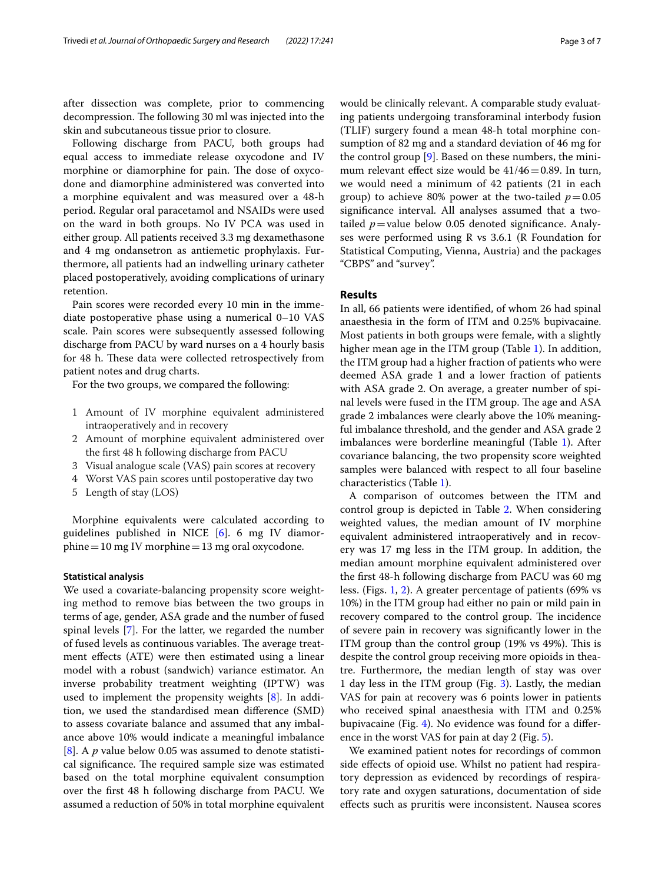after dissection was complete, prior to commencing decompression. The following 30 ml was injected into the skin and subcutaneous tissue prior to closure.

Following discharge from PACU, both groups had equal access to immediate release oxycodone and IV morphine or diamorphine for pain. The dose of oxycodone and diamorphine administered was converted into a morphine equivalent and was measured over a 48-h period. Regular oral paracetamol and NSAIDs were used on the ward in both groups. No IV PCA was used in either group. All patients received 3.3 mg dexamethasone and 4 mg ondansetron as antiemetic prophylaxis. Furthermore, all patients had an indwelling urinary catheter placed postoperatively, avoiding complications of urinary retention.

Pain scores were recorded every 10 min in the immediate postoperative phase using a numerical 0–10 VAS scale. Pain scores were subsequently assessed following discharge from PACU by ward nurses on a 4 hourly basis for 48 h. These data were collected retrospectively from patient notes and drug charts.

For the two groups, we compared the following:

- 1 Amount of IV morphine equivalent administered intraoperatively and in recovery
- 2 Amount of morphine equivalent administered over the frst 48 h following discharge from PACU
- 3 Visual analogue scale (VAS) pain scores at recovery
- 4 Worst VAS pain scores until postoperative day two
- 5 Length of stay (LOS)

Morphine equivalents were calculated according to guidelines published in NICE [[6\]](#page-6-5). 6 mg IV diamorphine=10 mg IV morphine=13 mg oral oxycodone.

## **Statistical analysis**

We used a covariate-balancing propensity score weighting method to remove bias between the two groups in terms of age, gender, ASA grade and the number of fused spinal levels [\[7](#page-6-6)]. For the latter, we regarded the number of fused levels as continuous variables. The average treatment efects (ATE) were then estimated using a linear model with a robust (sandwich) variance estimator. An inverse probability treatment weighting (IPTW) was used to implement the propensity weights [[8](#page-6-7)]. In addition, we used the standardised mean diference (SMD) to assess covariate balance and assumed that any imbalance above 10% would indicate a meaningful imbalance [[8\]](#page-6-7). A *p* value below 0.05 was assumed to denote statistical significance. The required sample size was estimated based on the total morphine equivalent consumption over the frst 48 h following discharge from PACU. We assumed a reduction of 50% in total morphine equivalent would be clinically relevant. A comparable study evaluating patients undergoing transforaminal interbody fusion (TLIF) surgery found a mean 48-h total morphine consumption of 82 mg and a standard deviation of 46 mg for the control group [\[9](#page-6-8)]. Based on these numbers, the minimum relevant effect size would be  $41/46=0.89$ . In turn, we would need a minimum of 42 patients (21 in each group) to achieve 80% power at the two-tailed  $p=0.05$ signifcance interval. All analyses assumed that a twotailed  $p$ =value below 0.05 denoted significance. Analyses were performed using R vs 3.6.1 (R Foundation for Statistical Computing, Vienna, Austria) and the packages "CBPS" and "survey".

# **Results**

In all, 66 patients were identifed, of whom 26 had spinal anaesthesia in the form of ITM and 0.25% bupivacaine. Most patients in both groups were female, with a slightly higher mean age in the ITM group (Table [1\)](#page-3-0). In addition, the ITM group had a higher fraction of patients who were deemed ASA grade 1 and a lower fraction of patients with ASA grade 2. On average, a greater number of spinal levels were fused in the ITM group. The age and ASA grade 2 imbalances were clearly above the 10% meaningful imbalance threshold, and the gender and ASA grade 2 imbalances were borderline meaningful (Table [1](#page-3-0)). After covariance balancing, the two propensity score weighted samples were balanced with respect to all four baseline characteristics (Table [1\)](#page-3-0).

A comparison of outcomes between the ITM and control group is depicted in Table [2](#page-3-1). When considering weighted values, the median amount of IV morphine equivalent administered intraoperatively and in recovery was 17 mg less in the ITM group. In addition, the median amount morphine equivalent administered over the frst 48-h following discharge from PACU was 60 mg less. (Figs. [1](#page-4-0), [2](#page-4-1)). A greater percentage of patients (69% vs 10%) in the ITM group had either no pain or mild pain in recovery compared to the control group. The incidence of severe pain in recovery was signifcantly lower in the ITM group than the control group  $(19\% \text{ vs } 49\%).$  This is despite the control group receiving more opioids in theatre. Furthermore, the median length of stay was over 1 day less in the ITM group (Fig. [3](#page-4-2)). Lastly, the median VAS for pain at recovery was 6 points lower in patients who received spinal anaesthesia with ITM and 0.25% bupivacaine (Fig. [4\)](#page-4-3). No evidence was found for a diference in the worst VAS for pain at day 2 (Fig. [5](#page-5-0)).

We examined patient notes for recordings of common side efects of opioid use. Whilst no patient had respiratory depression as evidenced by recordings of respiratory rate and oxygen saturations, documentation of side efects such as pruritis were inconsistent. Nausea scores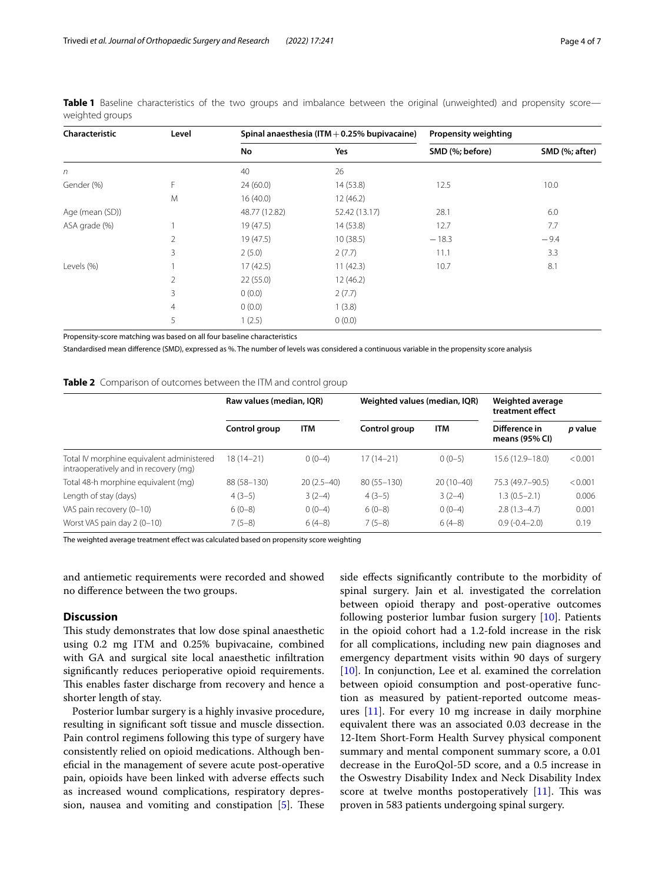| Characteristic  | Level          |               | Spinal anaesthesia (ITM $+$ 0.25% bupivacaine) | <b>Propensity weighting</b> |                |  |
|-----------------|----------------|---------------|------------------------------------------------|-----------------------------|----------------|--|
|                 |                | No            | Yes                                            | SMD (%; before)             | SMD (%; after) |  |
| $\sqrt{n}$      |                | 40            | 26                                             |                             |                |  |
| Gender (%)      | F.             | 24(60.0)      | 14(53.8)                                       | 12.5                        | 10.0           |  |
|                 | M              | 16(40.0)      | 12(46.2)                                       |                             |                |  |
| Age (mean (SD)) |                | 48.77 (12.82) | 52.42 (13.17)                                  | 28.1                        | 6.0            |  |
| ASA grade (%)   |                | 19(47.5)      | 14(53.8)                                       | 12.7                        | 7.7            |  |
|                 | 2              | 19(47.5)      | 10(38.5)                                       | $-18.3$                     | $-9.4$         |  |
|                 | 3              | 2(5.0)        | 2(7.7)                                         | 11.1                        | 3.3            |  |
| Levels (%)      |                | 17(42.5)      | 11(42.3)                                       | 10.7                        | 8.1            |  |
|                 | 2              | 22(55.0)      | 12(46.2)                                       |                             |                |  |
|                 | 3              | 0(0.0)        | 2(7.7)                                         |                             |                |  |
|                 | $\overline{4}$ | 0(0.0)        | 1(3.8)                                         |                             |                |  |
|                 | 5              | 1(2.5)        | 0(0.0)                                         |                             |                |  |

<span id="page-3-0"></span>**Table 1** Baseline characteristics of the two groups and imbalance between the original (unweighted) and propensity score weighted groups

Propensity-score matching was based on all four baseline characteristics

Standardised mean diference (SMD), expressed as %. The number of levels was considered a continuous variable in the propensity score analysis

<span id="page-3-1"></span>

|  | Table 2 Comparison of outcomes between the ITM and control group |  |  |  |  |  |
|--|------------------------------------------------------------------|--|--|--|--|--|
|--|------------------------------------------------------------------|--|--|--|--|--|

|                                                                                    | Raw values (median, IQR) |              | Weighted values (median, IQR) |             | Weighted average<br>treatment effect |         |
|------------------------------------------------------------------------------------|--------------------------|--------------|-------------------------------|-------------|--------------------------------------|---------|
|                                                                                    | Control group            | <b>ITM</b>   | Control group                 | <b>ITM</b>  | Difference in<br>means (95% CI)      | p value |
| Total IV morphine equivalent administered<br>intraoperatively and in recovery (mg) | $18(14 - 21)$            | $0(0-4)$     | $17(14-21)$                   | $0(0-5)$    | 15.6 (12.9-18.0)                     | < 0.001 |
| Total 48-h morphine equivalent (mq)                                                | 88 (58-130)              | $20(2.5-40)$ | $80(55 - 130)$                | $20(10-40)$ | 75.3 (49.7-90.5)                     | < 0.001 |
| Length of stay (days)                                                              | $4(3-5)$                 | $3(2-4)$     | $4(3-5)$                      | $3(2-4)$    | $1.3(0.5-2.1)$                       | 0.006   |
| VAS pain recovery (0-10)                                                           | $6(0-8)$                 | $0(0-4)$     | $6(0-8)$                      | $0(0-4)$    | $2.8(1.3-4.7)$                       | 0.001   |
| Worst VAS pain day 2 (0-10)                                                        | $7(5-8)$                 | $6(4-8)$     | $7(5-8)$                      | $6(4-8)$    | $0.9(-0.4-2.0)$                      | 0.19    |

The weighted average treatment effect was calculated based on propensity score weighting

and antiemetic requirements were recorded and showed no diference between the two groups.

# **Discussion**

This study demonstrates that low dose spinal anaesthetic using 0.2 mg ITM and 0.25% bupivacaine, combined with GA and surgical site local anaesthetic infltration signifcantly reduces perioperative opioid requirements. This enables faster discharge from recovery and hence a shorter length of stay.

Posterior lumbar surgery is a highly invasive procedure, resulting in signifcant soft tissue and muscle dissection. Pain control regimens following this type of surgery have consistently relied on opioid medications. Although benefcial in the management of severe acute post-operative pain, opioids have been linked with adverse efects such as increased wound complications, respiratory depression, nausea and vomiting and constipation  $[5]$  $[5]$ . These side efects signifcantly contribute to the morbidity of spinal surgery. Jain et al. investigated the correlation between opioid therapy and post-operative outcomes following posterior lumbar fusion surgery [[10\]](#page-6-9). Patients in the opioid cohort had a 1.2-fold increase in the risk for all complications, including new pain diagnoses and emergency department visits within 90 days of surgery [[10\]](#page-6-9). In conjunction, Lee et al. examined the correlation between opioid consumption and post-operative function as measured by patient-reported outcome measures [\[11](#page-6-10)]. For every 10 mg increase in daily morphine equivalent there was an associated 0.03 decrease in the 12-Item Short-Form Health Survey physical component summary and mental component summary score, a 0.01 decrease in the EuroQol-5D score, and a 0.5 increase in the Oswestry Disability Index and Neck Disability Index score at twelve months postoperatively  $[11]$  $[11]$ . This was proven in 583 patients undergoing spinal surgery.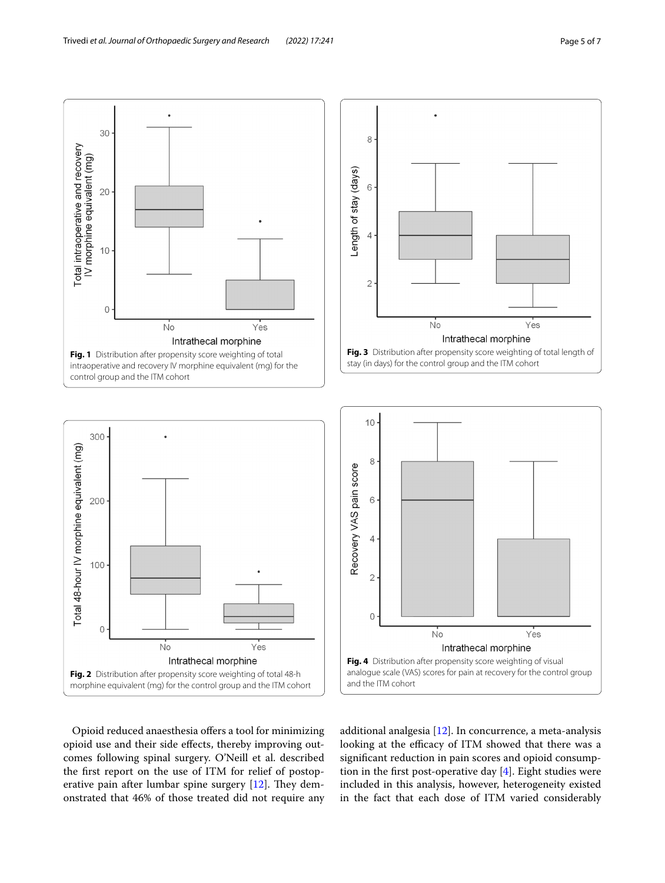

<span id="page-4-0"></span>



<span id="page-4-2"></span>

<span id="page-4-1"></span>Opioid reduced anaesthesia offers a tool for minimizing opioid use and their side efects, thereby improving outcomes following spinal surgery. O'Neill et al. described the frst report on the use of ITM for relief of postoperative pain after lumbar spine surgery  $[12]$  $[12]$ . They demonstrated that 46% of those treated did not require any

<span id="page-4-3"></span>additional analgesia [\[12\]](#page-6-11). In concurrence, a meta-analysis looking at the efficacy of ITM showed that there was a signifcant reduction in pain scores and opioid consumption in the first post-operative day  $[4]$  $[4]$ . Eight studies were included in this analysis, however, heterogeneity existed in the fact that each dose of ITM varied considerably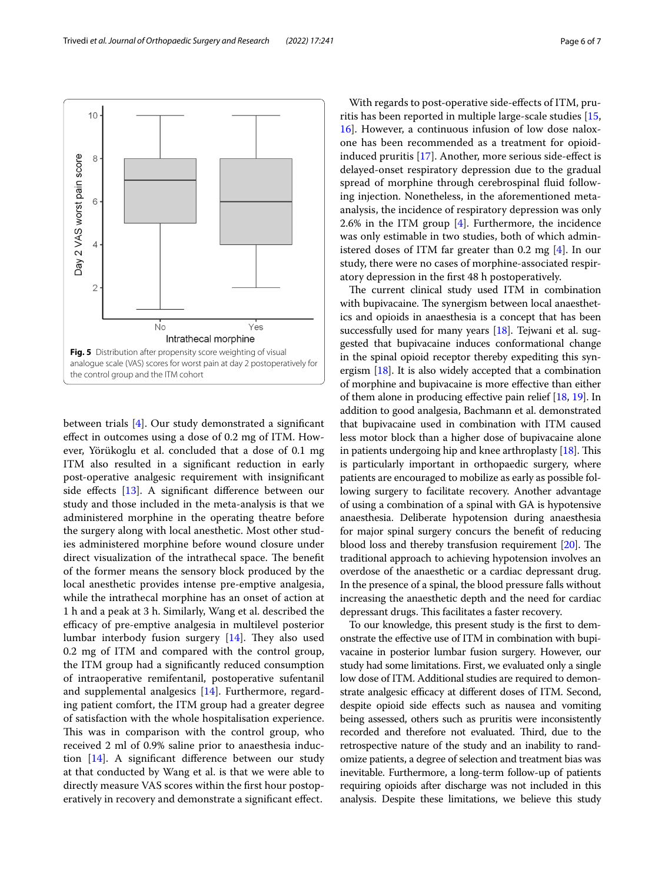

<span id="page-5-0"></span>between trials [\[4](#page-6-3)]. Our study demonstrated a signifcant efect in outcomes using a dose of 0.2 mg of ITM. However, Yörükoglu et al. concluded that a dose of 0.1 mg ITM also resulted in a signifcant reduction in early post-operative analgesic requirement with insignifcant side effects [\[13](#page-6-12)]. A significant difference between our study and those included in the meta-analysis is that we administered morphine in the operating theatre before the surgery along with local anesthetic. Most other studies administered morphine before wound closure under direct visualization of the intrathecal space. The benefit of the former means the sensory block produced by the local anesthetic provides intense pre-emptive analgesia, while the intrathecal morphine has an onset of action at 1 h and a peak at 3 h. Similarly, Wang et al. described the efficacy of pre-emptive analgesia in multilevel posterior lumbar interbody fusion surgery  $[14]$ . They also used 0.2 mg of ITM and compared with the control group, the ITM group had a signifcantly reduced consumption of intraoperative remifentanil, postoperative sufentanil and supplemental analgesics [[14\]](#page-6-13). Furthermore, regarding patient comfort, the ITM group had a greater degree of satisfaction with the whole hospitalisation experience. This was in comparison with the control group, who received 2 ml of 0.9% saline prior to anaesthesia induction [[14\]](#page-6-13). A signifcant diference between our study at that conducted by Wang et al. is that we were able to directly measure VAS scores within the frst hour postoperatively in recovery and demonstrate a signifcant efect.

With regards to post-operative side-efects of ITM, pruritis has been reported in multiple large-scale studies [[15](#page-6-14), [16\]](#page-6-15). However, a continuous infusion of low dose naloxone has been recommended as a treatment for opioidinduced pruritis [\[17](#page-6-16)]. Another, more serious side-efect is delayed-onset respiratory depression due to the gradual spread of morphine through cerebrospinal fuid following injection. Nonetheless, in the aforementioned metaanalysis, the incidence of respiratory depression was only 2.6% in the ITM group [[4\]](#page-6-3). Furthermore, the incidence was only estimable in two studies, both of which administered doses of ITM far greater than 0.2 mg [[4\]](#page-6-3). In our study, there were no cases of morphine-associated respiratory depression in the frst 48 h postoperatively.

The current clinical study used ITM in combination with bupivacaine. The synergism between local anaesthetics and opioids in anaesthesia is a concept that has been successfully used for many years [[18](#page-6-17)]. Tejwani et al. suggested that bupivacaine induces conformational change in the spinal opioid receptor thereby expediting this synergism [\[18\]](#page-6-17). It is also widely accepted that a combination of morphine and bupivacaine is more efective than either of them alone in producing efective pain relief [\[18,](#page-6-17) [19](#page-6-18)]. In addition to good analgesia, Bachmann et al. demonstrated that bupivacaine used in combination with ITM caused less motor block than a higher dose of bupivacaine alone in patients undergoing hip and knee arthroplasty  $[18]$ . This is particularly important in orthopaedic surgery, where patients are encouraged to mobilize as early as possible following surgery to facilitate recovery. Another advantage of using a combination of a spinal with GA is hypotensive anaesthesia. Deliberate hypotension during anaesthesia for major spinal surgery concurs the beneft of reducing blood loss and thereby transfusion requirement  $[20]$ . The traditional approach to achieving hypotension involves an overdose of the anaesthetic or a cardiac depressant drug. In the presence of a spinal, the blood pressure falls without increasing the anaesthetic depth and the need for cardiac depressant drugs. This facilitates a faster recovery.

To our knowledge, this present study is the frst to demonstrate the efective use of ITM in combination with bupivacaine in posterior lumbar fusion surgery. However, our study had some limitations. First, we evaluated only a single low dose of ITM. Additional studies are required to demonstrate analgesic efficacy at different doses of ITM. Second, despite opioid side efects such as nausea and vomiting being assessed, others such as pruritis were inconsistently recorded and therefore not evaluated. Third, due to the retrospective nature of the study and an inability to randomize patients, a degree of selection and treatment bias was inevitable. Furthermore, a long-term follow-up of patients requiring opioids after discharge was not included in this analysis. Despite these limitations, we believe this study